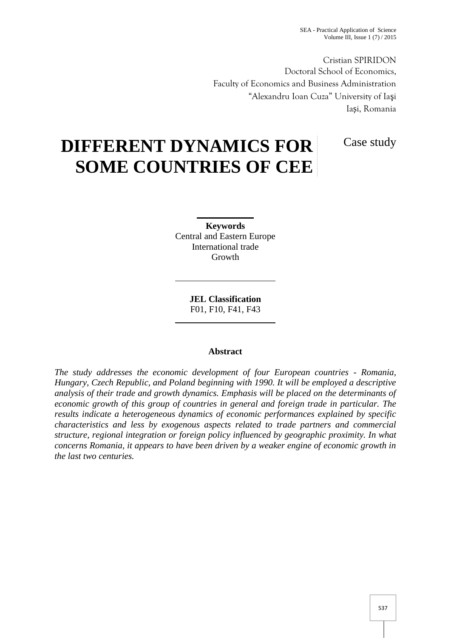Cristian SPIRIDON Doctoral School of Economics, Faculty of Economics and Business Administration "Alexandru Ioan Cuza" University of Ia i Ia i, Romania

Case study

# **DIFFERENT DYNAMICS FOR SOME COUNTRIES OF CEE**

**Keywords** Central and Eastern Europe International trade Growth

> **JEL Classification** F01, F10, F41, F43

## **Abstract**

*The study addresses the economic development of four European countries - Romania, Hungary, Czech Republic, and Poland beginning with 1990. It will be employed a descriptive analysis of their trade and growth dynamics. Emphasis will be placed on the determinants of economic growth of this group of countries in general and foreign trade in particular. The results indicate a heterogeneous dynamics of economic performances explained by specific characteristics and less by exogenous aspects related to trade partners and commercial structure, regional integration or foreign policy influenced by geographic proximity. In what concerns Romania, it appears to have been driven by a weaker engine of economic growth in the last two centuries.*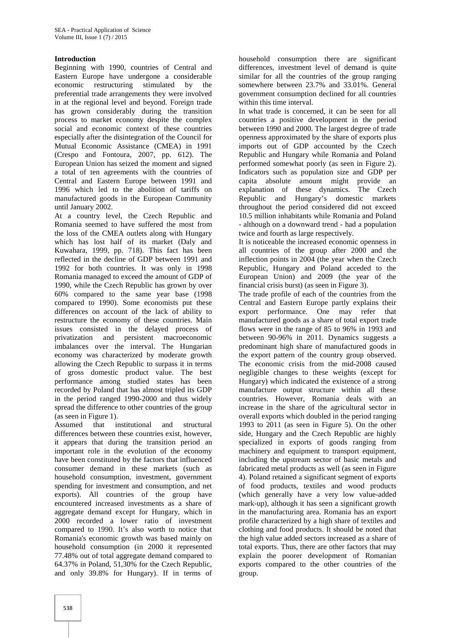## **Introduction**

Beginning with 1990, countries of Central and Eastern Europe have undergone a considerable economic restructuring stimulated by the preferential trade arrangements they were involved in at the regional level and beyond. Foreign trade has grown considerably during the transition process to market economy despite the complex social and economic context of these countries especially after the disintegration of the Council for Mutual Economic Assistance (CMEA) in 1991 (Crespo and Fontoura, 2007, pp. 612). The European Union has seized the moment and signed a total of ten agreements with the countries of Central and Eastern Europe between 1991 and 1996 which led to the abolition of tariffs on manufactured goods in the European Community until January 2002.

At a country level, the Czech Republic and Romania seemed to have suffered the most from the loss of the CMEA outlets along with Hungary which has lost half of its market (Daly and Kuwahara, 1999, pp. 718). This fact has been reflected in the decline of GDP between 1991 and 1992 for both countries. It was only in 1998 Romania managed to exceed the amount of GDP of 1990, while the Czech Republic has grown by over 60% compared to the same year base (1998 compared to 1990). Some economists put these differences on account of the lack of ability to restructure the economy of these countries. Main issues consisted in the delayed process of privatization and persistent macroeconomic imbalances over the interval. The Hungarian economy was characterized by moderate growth allowing the Czech Republic to surpass it in terms of gross domestic product value. The best performance among studied states has been recorded by Poland that has almost tripled its GDP in the period ranged 1990-2000 and thus widely spread the difference to other countries of the group (as seen in Figure 1).

Assumed that institutional and structural differences between these countries exist, however, it appears that during the transition period an important role in the evolution of the economy have been constituted by the factors that influenced consumer demand in these markets (such as household consumption, investment, government spending for investment and consumption, and net exports). All countries of the group have encountered increased investments as a share of aggregate demand except for Hungary, which in 2000 recorded a lower ratio of investment compared to 1990. It's also worth to notice that Romania's economic growth was based mainly on household consumption (in 2000 it represented 77.48% out of total aggregate demand compared to 64.37% in Poland, 51,30% for the Czech Republic, and only 39.8% for Hungary). If in terms of

household consumption there are significant differences, investment level of demand is quite similar for all the countries of the group ranging somewhere between 23.7% and 33.01%. General government consumption declined for all countries within this time interval.

In what trade is concerned, it can be seen for all countries a positive development in the period between 1990 and 2000. The largest degree of trade openness approximated by the share of exports plus imports out of GDP accounted by the Czech Republic and Hungary while Romania and Poland performed somewhat poorly (as seen in Figure 2). Indicators such as population size and GDP per capita absolute amount might provide an explanation of these dynamics. The Czech Republic and Hungary's domestic markets throughout the period considered did not exceed 10.5 million inhabitants while Romania and Poland - although on a downward trend - had a population twice and fourth as large respectively.

It is noticeable the increased economic openness in all countries of the group after 2000 and the inflection points in 2004 (the year when the Czech Republic, Hungary and Poland acceded to the European Union) and 2009 (the year of the financial crisis burst) (as seen in Figure 3).

The trade profile of each of the countries from the Central and Eastern Europe partly explains their export performance. One may refer that manufactured goods as a share of total export trade flows were in the range of 85 to 96% in 1993 and between 90-96% in 2011. Dynamics suggests a predominant high share of manufactured goods in the export pattern of the country group observed. The economic crisis from the mid-2008 caused negligible changes to these weights (except for Hungary) which indicated the existence of a strong manufacture output structure within all these countries. However, Romania deals with an increase in the share of the agricultural sector in overall exports which doubled in the period ranging 1993 to 2011 (as seen in Figure 5). On the other side, Hungary and the Czech Republic are highly specialized in exports of goods ranging from machinery and equipment to transport equipment, including the upstream sector of basic metals and fabricated metal products as well (as seen in Figure 4). Poland retained a significant segment of exports of food products, textiles and wood products (which generally have a very low value-added mark-up), although it has seen a significant growth in the manufacturing area. Romania has an export profile characterized by a high share of textiles and clothing and food products. It should be noted that the high value added sectors increased as a share of total exports. Thus, there are other factors that may explain the poorer development of Romanian exports compared to the other countries of the group.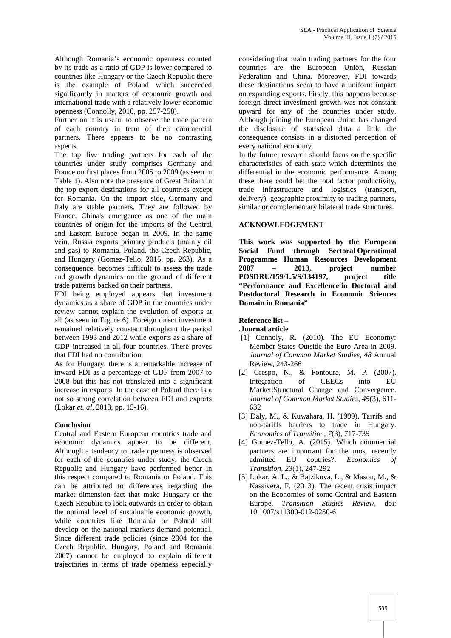Although Romania's economic openness counted by its trade as a ratio of GDP is lower compared to countries like Hungary or the Czech Republic there is the example of Poland which succeeded significantly in matters of economic growth and international trade with a relatively lower economic openness (Connolly, 2010, pp. 257-258).

Further on it is useful to observe the trade pattern of each country in term of their commercial partners. There appears to be no contrasting aspects.

The top five trading partners for each of the countries under study comprises Germany and France on first places from 2005 to 2009 (as seen in Table 1). Also note the presence of Great Britain in the top export destinations for all countries except for Romania. On the import side, Germany and Italy are stable partners. They are followed by France. China's emergence as one of the main countries of origin for the imports of the Central and Eastern Europe began in 2009. In the same vein, Russia exports primary products (mainly oil and gas) to Romania, Poland, the Czech Republic, and Hungary (Gomez-Tello, 2015, pp. 263). As a consequence, becomes difficult to assess the trade and growth dynamics on the ground of different trade patterns backed on their partners.

FDI being employed appears that investment dynamics as a share of GDP in the countries under review cannot explain the evolution of exports at all (as seen in Figure 6). Foreign direct investment remained relatively constant throughout the period between 1993 and 2012 while exports as a share of GDP increased in all four countries. There proves that FDI had no contribution.

As for Hungary, there is a remarkable increase of inward FDI as a percentage of GDP from 2007 to 2008 but this has not translated into a significant increase in exports. In the case of Poland there is a not so strong correlation between FDI and exports (Lokar *et. al,* 2013, pp. 15-16).

#### **Conclusion**

Central and Eastern European countries trade and economic dynamics appear to be different. Although a tendency to trade openness is observed for each of the countries under study, the Czech Republic and Hungary have performed better in this respect compared to Romania or Poland. This can be attributed to differences regarding the market dimension fact that make Hungary or the Czech Republic to look outwards in order to obtain the optimal level of sustainable economic growth, while countries like Romania or Poland still develop on the national markets demand potential. Since different trade policies (since 2004 for the Czech Republic, Hungary, Poland and Romania 2007) cannot be employed to explain different trajectories in terms of trade openness especially

considering that main trading partners for the four countries are the European Union, Russian Federation and China. Moreover, FDI towards these destinations seem to have a uniform impact on expanding exports. Firstly, this happens because foreign direct investment growth was not constant upward for any of the countries under study. Although joining the European Union has changed the disclosure of statistical data a little the consequence consists in a distorted perception of every national economy.

In the future, research should focus on the specific characteristics of each state which determines the differential in the economic performance. Among these there could be: the total factor productivity, trade infrastructure and logistics (transport, delivery), geographic proximity to trading partners, similar or complementary bilateral trade structures.

### **ACKNOWLEDGEMENT**

**This work was supported by the European Social Fund through Sectoral Operational Programme Human Resources Development 2007 – 2013, project number POSDRU/159/1.5/S/134197, project title "Performance and Excellence in Doctoral and Postdoctoral Research in Economic Sciences Domain in Romania"**

# **Reference list –**

.**Journal article**

- [1] Connoly, R. (2010). The EU Economy: Member States Outside the Euro Area in 2009. *Journal of Common Market Studies, 48* Annual Review, 243-266
- [2] Crespo, N., & Fontoura, M. P. (2007). Integration of CEECs into EU Market:Structural Change and Convergence. *Journal of Common Market Studies, 45*(3), 611- 632
- [3] Daly, M., & Kuwahara, H. (1999). Tarrifs and non-tariffs barriers to trade in Hungary. *Economics of Transition, 7*(3), 717-739
- [4] Gomez-Tello, A. (2015). Which commercial partners are important for the most recently admitted EU coutries?. *Economics of Transition, 23*(1), 247-292
- [5] Lokar, A. L., & Bajzikova, L., & Mason, M., & Nassivera, F. (2013). The recent crisis impact on the Economies of some Central and Eastern Europe. *Transition Studies Review,* doi: 10.1007/s11300-012-0250-6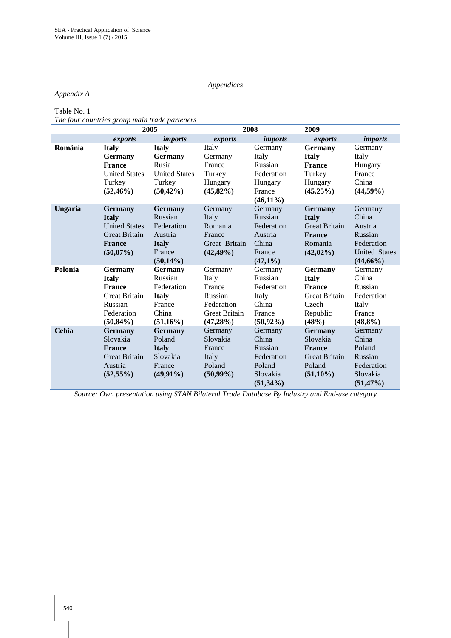## *Appendices*

## *Appendix A*

Table No. 1

*The four countries group main trade parteners*

|         | 2005                 |                      | 2008                 |              | 2009                 |                      |
|---------|----------------------|----------------------|----------------------|--------------|----------------------|----------------------|
|         | exports              | <i>imports</i>       | exports              | imports      | exports              | <i>imports</i>       |
| România | <b>Italy</b>         | <b>Italy</b>         | Italy                | Germany      | <b>Germany</b>       | Germany              |
|         | <b>Germany</b>       | <b>Germany</b>       | Germany              | Italy        | <b>Italy</b>         | Italy                |
|         | <b>France</b>        | Rusia                | France               | Russian      | <b>France</b>        | Hungary              |
|         | <b>United States</b> | <b>United States</b> | Turkey               | Federation   | Turkey               | France               |
|         | Turkey               | Turkey               | Hungary              | Hungary      | Hungary              | China                |
|         | $(52, 46\%)$         | $(50, 42\%)$         | $(45,82\%)$          | France       | $(45,25\%)$          | $(44,59\%)$          |
|         |                      |                      |                      | $(46,11\%)$  |                      |                      |
| Ungaria | <b>Germany</b>       | <b>Germany</b>       | Germany              | Germany      | <b>Germany</b>       | Germany              |
|         | <b>Italy</b>         | Russian              | Italy                | Russian      | <b>Italy</b>         | China                |
|         | <b>United States</b> | Federation           | Romania              | Federation   | <b>Great Britain</b> | Austria              |
|         | <b>Great Britain</b> | Austria              | France               | Austria      | <b>France</b>        | Russian              |
|         | <b>France</b>        | <b>Italy</b>         | Great Britain        | China        | Romania              | Federation           |
|         | $(50,07\%)$          | France               | $(42, 49\%)$         | France       | $(42,02\%)$          | <b>United States</b> |
|         |                      | $(50,14\%)$          |                      | $(47,1\%)$   |                      | $(44,66\%)$          |
| Polonia | <b>Germany</b>       | <b>Germany</b>       | Germany              | Germany      | <b>Germany</b>       | Germany              |
|         | <b>Italy</b>         | Russian              | Italy                | Russian      | <b>Italy</b>         | China                |
|         | <b>France</b>        | Federation           | France               | Federation   | <b>France</b>        | Russian              |
|         | <b>Great Britain</b> | <b>Italy</b>         | Russian              | Italy        | <b>Great Britain</b> | Federation           |
|         | Russian              | France               | Federation           | China        | Czech                | Italy                |
|         | Federation           | China                | <b>Great Britain</b> | France       | Republic             | France               |
|         | $(50,84\%)$          | $(51,16\%)$          | $(47,28\%)$          | $(50, 92\%)$ | (48%)                | (48,8%)              |
| Cehia   | <b>Germany</b>       | Germany              | Germany              | Germany      | <b>Germany</b>       | Germany              |
|         | Slovakia             | Poland               | Slovakia             | China        | Slovakia             | China                |
|         | <b>France</b>        | <b>Italy</b>         | France               | Russian      | <b>France</b>        | Poland               |
|         | <b>Great Britain</b> | Slovakia             | Italy                | Federation   | <b>Great Britain</b> | Russian              |
|         | Austria              | France               | Poland               | Poland       | Poland               | Federation           |
|         | $(52, 55\%)$         | $(49,91\%)$          | $(50,99\%)$          | Slovakia     | $(51,10\%)$          | Slovakia             |
|         |                      |                      |                      | $(51,34\%)$  |                      | $(51, 47\%)$         |

*Source: Own presentation using STAN Bilateral Trade Database By Industry and End-use category*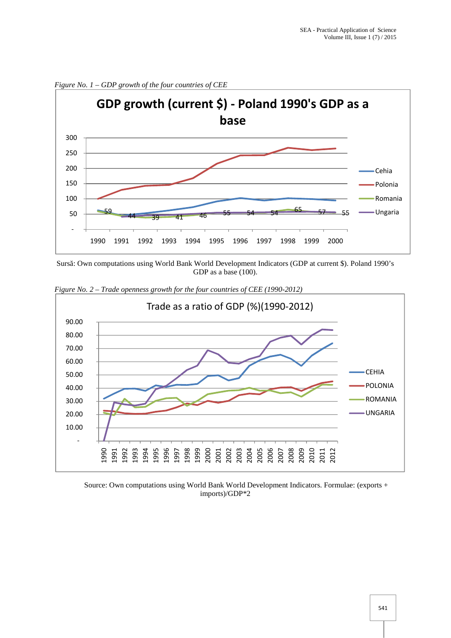

*Figure No. 1 – GDP growth of the four countries of CEE*

Surs: Own computations using World Bank World Development Indicators (GDP at current \$). Poland 1990's GDP as a base (100).



*Figure No. 2 – Trade openness growth for the four countries of CEE (1990-2012)*

Source: Own computations using World Bank World Development Indicators. Formulae: (exports + imports)/GDP\*2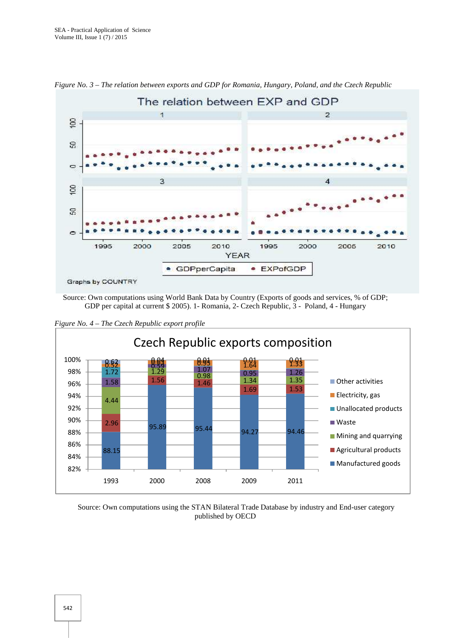

*Figure No. 3 – The relation between exports and GDP for Romania, Hungary, Poland, and the Czech Republic*

Source: Own computations using World Bank Data by Country (Exports of goods and services, % of GDP; GDP per capital at current \$ 2005). 1- Romania, 2- Czech Republic, 3 - Poland, 4 - Hungary



*Figure No. 4 – The Czech Republic export profile*

Source: Own computations using the STAN Bilateral Trade Database by industry and End-user category published by OECD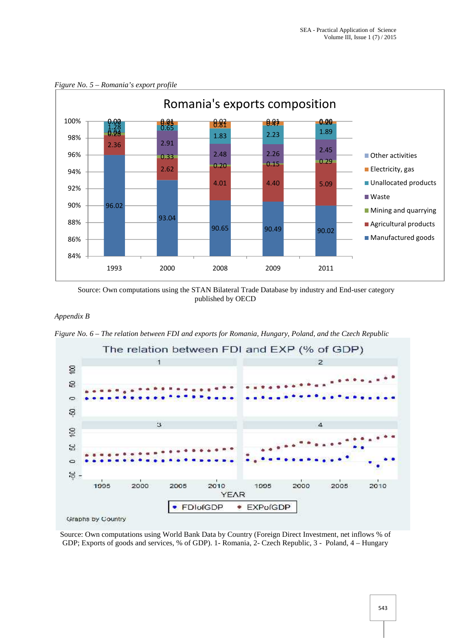

*Figure No. 5 – Romania's export profile*

Source: Own computations using the STAN Bilateral Trade Database by industry and End-user category published by OECD

#### *Appendix B*

*Figure No. 6 – The relation between FDI and exports for Romania, Hungary, Poland, and the Czech Republic*



Source: Own computations using World Bank Data by Country (Foreign Direct Investment, net inflows % of GDP; Exports of goods and services, % of GDP). 1- Romania, 2- Czech Republic, 3 - Poland, 4 – Hungary